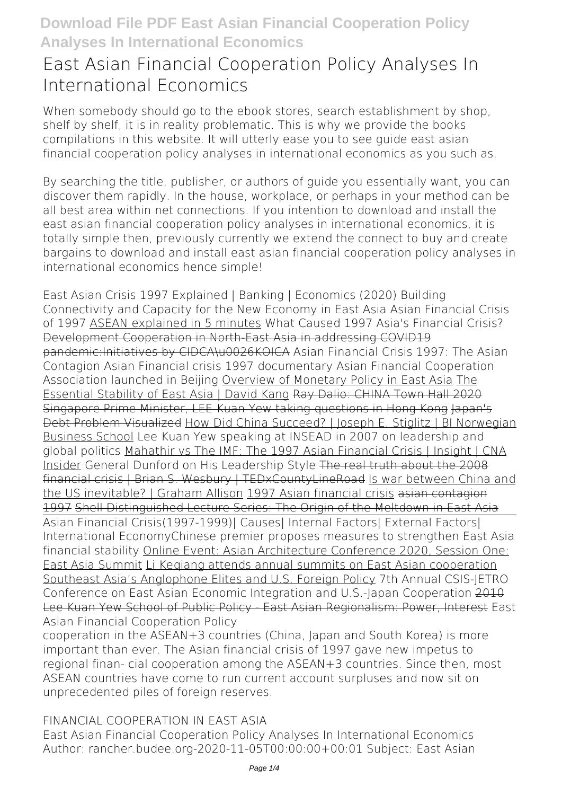# **East Asian Financial Cooperation Policy Analyses In International Economics**

When somebody should go to the ebook stores, search establishment by shop, shelf by shelf, it is in reality problematic. This is why we provide the books compilations in this website. It will utterly ease you to see guide **east asian financial cooperation policy analyses in international economics** as you such as.

By searching the title, publisher, or authors of guide you essentially want, you can discover them rapidly. In the house, workplace, or perhaps in your method can be all best area within net connections. If you intention to download and install the east asian financial cooperation policy analyses in international economics, it is totally simple then, previously currently we extend the connect to buy and create bargains to download and install east asian financial cooperation policy analyses in international economics hence simple!

**East Asian Crisis 1997 Explained | Banking | Economics (2020)** Building Connectivity and Capacity for the New Economy in East Asia **Asian Financial Crisis of 1997** ASEAN explained in 5 minutes What Caused 1997 Asia's Financial Crisis? Development Cooperation in North-East Asia in addressing COVID19 pandemic:Initiatives by CIDCA\u0026KOICA **Asian Financial Crisis 1997: The Asian Contagion** *Asian Financial crisis 1997 documentary* **Asian Financial Cooperation Association launched in Beijing** Overview of Monetary Policy in East Asia The Essential Stability of East Asia | David Kang Ray Dalio: CHINA Town Hall 2020 Singapore Prime Minister, LEE Kuan Yew taking questions in Hong Kong Japan's Debt Problem Visualized How Did China Succeed? | Joseph E. Stiglitz | BI Norwegian Business School *Lee Kuan Yew speaking at INSEAD in 2007 on leadership and global politics* Mahathir vs The IMF: The 1997 Asian Financial Crisis | Insight | CNA Insider **General Dunford on His Leadership Style** The real truth about the 2008 financial crisis | Brian S. Wesbury | TEDxCountyLineRoad Is war between China and the US inevitable? | Graham Allison 1997 Asian financial crisis asian contagion 1997 Shell Distinguished Lecture Series: The Origin of the Meltdown in East Asia Asian Financial Crisis(1997-1999)| Causes| Internal Factors| External Factors| International Economy**Chinese premier proposes measures to strengthen East Asia financial stability** Online Event: Asian Architecture Conference 2020, Session One: East Asia Summit Li Keqiang attends annual summits on East Asian cooperation Southeast Asia's Anglophone Elites and U.S. Foreign Policy *7th Annual CSIS-JETRO Conference on East Asian Economic Integration and U.S.-Japan Cooperation* 2010 Lee Kuan Yew School of Public Policy - East Asian Regionalism: Power, Interest *East Asian Financial Cooperation Policy*

cooperation in the ASEAN+3 countries (China, Japan and South Korea) is more important than ever. The Asian financial crisis of 1997 gave new impetus to regional finan- cial cooperation among the ASEAN+3 countries. Since then, most ASEAN countries have come to run current account surpluses and now sit on unprecedented piles of foreign reserves.

### *FINANCIAL COOPERATION IN EAST ASIA*

East Asian Financial Cooperation Policy Analyses In International Economics Author: rancher.budee.org-2020-11-05T00:00:00+00:01 Subject: East Asian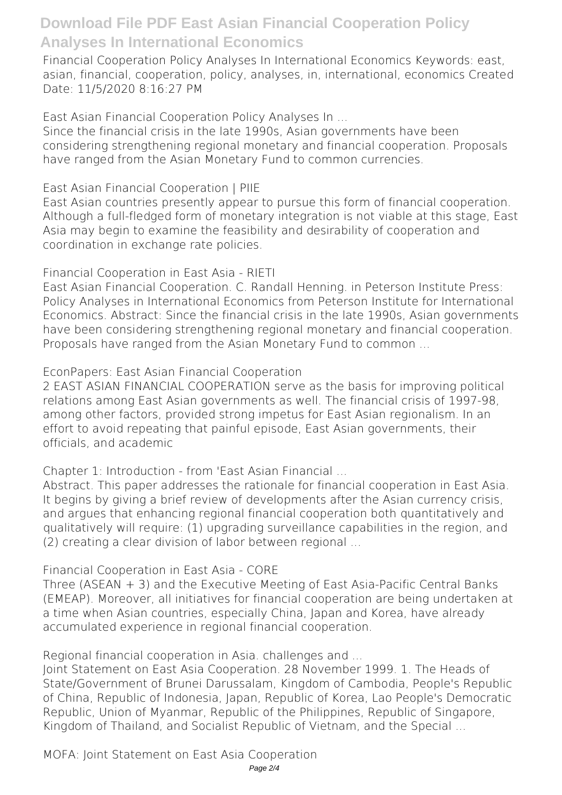Financial Cooperation Policy Analyses In International Economics Keywords: east, asian, financial, cooperation, policy, analyses, in, international, economics Created Date: 11/5/2020 8:16:27 PM

*East Asian Financial Cooperation Policy Analyses In ...*

Since the financial crisis in the late 1990s, Asian governments have been considering strengthening regional monetary and financial cooperation. Proposals have ranged from the Asian Monetary Fund to common currencies.

*East Asian Financial Cooperation | PIIE*

East Asian countries presently appear to pursue this form of financial cooperation. Although a full-fledged form of monetary integration is not viable at this stage, East Asia may begin to examine the feasibility and desirability of cooperation and coordination in exchange rate policies.

#### *Financial Cooperation in East Asia - RIETI*

East Asian Financial Cooperation. C. Randall Henning. in Peterson Institute Press: Policy Analyses in International Economics from Peterson Institute for International Economics. Abstract: Since the financial crisis in the late 1990s, Asian governments have been considering strengthening regional monetary and financial cooperation. Proposals have ranged from the Asian Monetary Fund to common ...

*EconPapers: East Asian Financial Cooperation*

2 EAST ASIAN FINANCIAL COOPERATION serve as the basis for improving political relations among East Asian governments as well. The financial crisis of 1997-98, among other factors, provided strong impetus for East Asian regionalism. In an effort to avoid repeating that painful episode, East Asian governments, their officials, and academic

*Chapter 1: Introduction - from 'East Asian Financial ...*

Abstract. This paper addresses the rationale for financial cooperation in East Asia. It begins by giving a brief review of developments after the Asian currency crisis, and argues that enhancing regional financial cooperation both quantitatively and qualitatively will require: (1) upgrading surveillance capabilities in the region, and (2) creating a clear division of labor between regional ...

#### *Financial Cooperation in East Asia - CORE*

Three (ASEAN + 3) and the Executive Meeting of East Asia-Pacific Central Banks (EMEAP). Moreover, all initiatives for financial cooperation are being undertaken at a time when Asian countries, especially China, Japan and Korea, have already accumulated experience in regional financial cooperation.

*Regional financial cooperation in Asia. challenges and ...*

Joint Statement on East Asia Cooperation. 28 November 1999. 1. The Heads of State/Government of Brunei Darussalam, Kingdom of Cambodia, People's Republic of China, Republic of Indonesia, Japan, Republic of Korea, Lao People's Democratic Republic, Union of Myanmar, Republic of the Philippines, Republic of Singapore, Kingdom of Thailand, and Socialist Republic of Vietnam, and the Special ...

*MOFA: Joint Statement on East Asia Cooperation*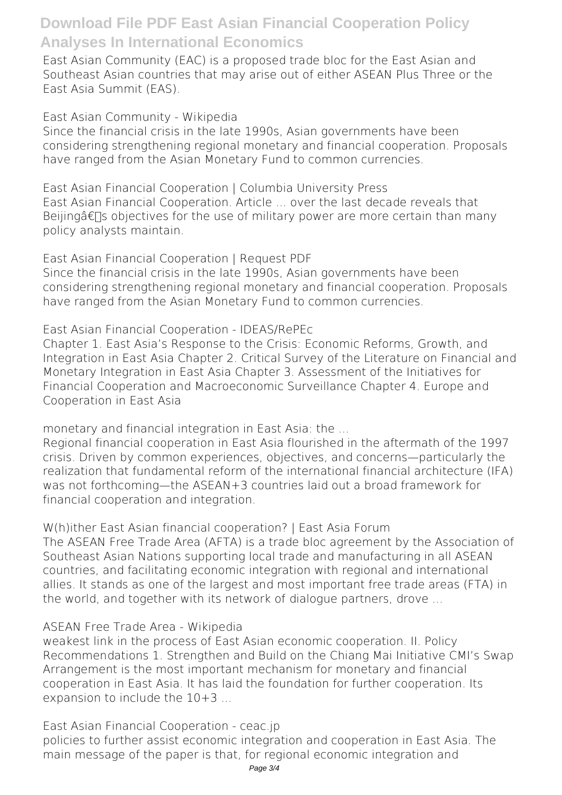East Asian Community (EAC) is a proposed trade bloc for the East Asian and Southeast Asian countries that may arise out of either ASEAN Plus Three or the East Asia Summit (EAS).

*East Asian Community - Wikipedia*

Since the financial crisis in the late 1990s, Asian governments have been considering strengthening regional monetary and financial cooperation. Proposals have ranged from the Asian Monetary Fund to common currencies.

*East Asian Financial Cooperation | Columbia University Press* East Asian Financial Cooperation. Article ... over the last decade reveals that Beijing $\hat{\sigma} \in \mathbb{T}$ s objectives for the use of military power are more certain than many policy analysts maintain.

*East Asian Financial Cooperation | Request PDF* Since the financial crisis in the late 1990s, Asian governments have been considering strengthening regional monetary and financial cooperation. Proposals have ranged from the Asian Monetary Fund to common currencies.

*East Asian Financial Cooperation - IDEAS/RePEc*

Chapter 1. East Asia's Response to the Crisis: Economic Reforms, Growth, and Integration in East Asia Chapter 2. Critical Survey of the Literature on Financial and Monetary Integration in East Asia Chapter 3. Assessment of the Initiatives for Financial Cooperation and Macroeconomic Surveillance Chapter 4. Europe and Cooperation in East Asia

*monetary and financial integration in East Asia: the ...*

Regional financial cooperation in East Asia flourished in the aftermath of the 1997 crisis. Driven by common experiences, objectives, and concerns—particularly the realization that fundamental reform of the international financial architecture (IFA) was not forthcoming—the ASEAN+3 countries laid out a broad framework for financial cooperation and integration.

*W(h)ither East Asian financial cooperation? | East Asia Forum*

The ASEAN Free Trade Area (AFTA) is a trade bloc agreement by the Association of Southeast Asian Nations supporting local trade and manufacturing in all ASEAN countries, and facilitating economic integration with regional and international allies. It stands as one of the largest and most important free trade areas (FTA) in the world, and together with its network of dialogue partners, drove ...

### *ASEAN Free Trade Area - Wikipedia*

weakest link in the process of East Asian economic cooperation. II. Policy Recommendations 1. Strengthen and Build on the Chiang Mai Initiative CMI's Swap Arrangement is the most important mechanism for monetary and financial cooperation in East Asia. It has laid the foundation for further cooperation. Its expansion to include the 10+3 ...

*East Asian Financial Cooperation - ceac.jp* policies to further assist economic integration and cooperation in East Asia. The main message of the paper is that, for regional economic integration and